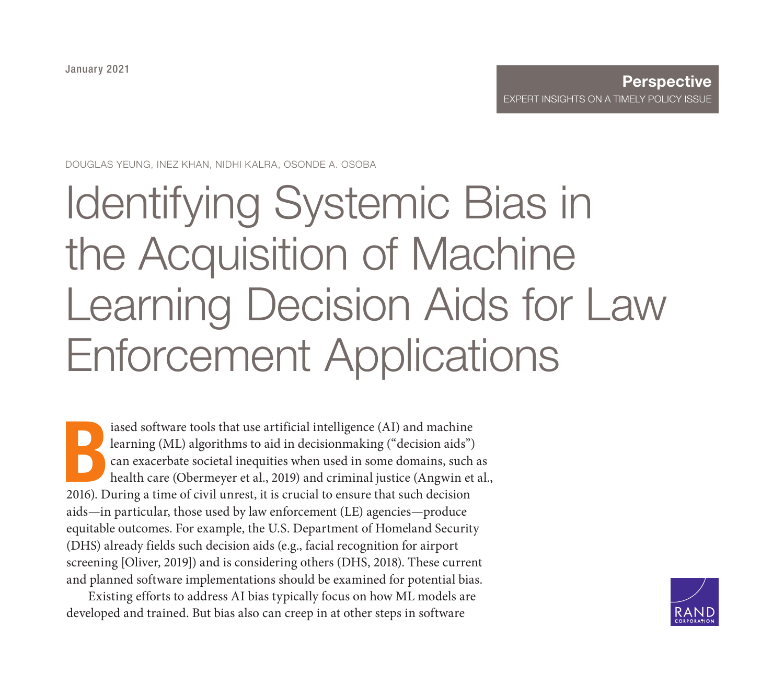January 2021

#### **Perspective** [EXPERT INSIGHTS ON A TIMELY POLI](https://www.rand.org/pubs/perspectives/PEA862-1.html)CY ISSUE

DOUGLAS YEUNG, INEZ KHAN, NIDHI KALRA, OSONDE A. OSOBA

# Identifying Systemic Bias in the Acquisition of Machine Learning Decision Aids for Law Enforcement Applications

B iased software tools that use artificial intelligence (AI) and machine learning (ML) algorithms to aid in decisionmaking ("decision aids") can exacerbate societal inequities when used in some domains, such as health care (Obermeyer et al., 2019) and criminal justice (Angwin et al., 2016). During a time of civil unrest, it is crucial to ensure that such decision aids—in particular, those used by law enforcement (LE) agencies—produce equitable outcomes. For example, the U.S. Department of Homeland Security (DHS) already fields such decision aids (e.g., facial recognition for airport screening [Oliver, 2019]) and is considering others (DHS, 2018). These current and planned software implementations should be examined for potential bias.

Existing efforts to address AI bias typically focus on how ML models are developed and trained. But bias also can creep in at other steps in software

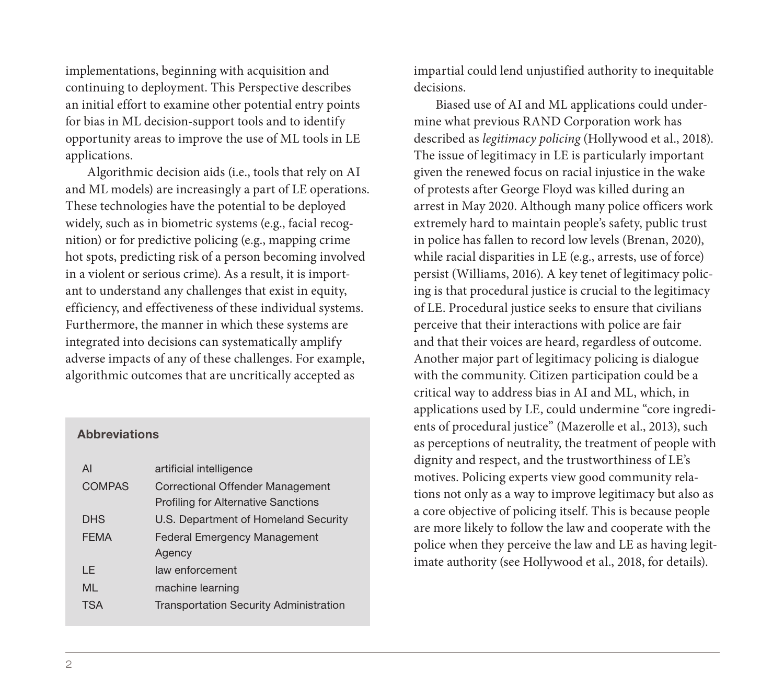implementations, beginning with acquisition and continuing to deployment. This Perspective describes an initial effort to examine other potential entry points for bias in ML decision-support tools and to identify opportunity areas to improve the use of ML tools in LE applications.

Algorithmic decision aids (i.e., tools that rely on AI and ML models) are increasingly a part of LE operations. These technologies have the potential to be deployed widely, such as in biometric systems (e.g., facial recognition) or for predictive policing (e.g., mapping crime hot spots, predicting risk of a person becoming involved in a violent or serious crime). As a result, it is important to understand any challenges that exist in equity, efficiency, and effectiveness of these individual systems. Furthermore, the manner in which these systems are integrated into decisions can systematically amplify adverse impacts of any of these challenges. For example, algorithmic outcomes that are uncritically accepted as

#### **Abbreviations**

| AI            | artificial intelligence                       |  |  |
|---------------|-----------------------------------------------|--|--|
| <b>COMPAS</b> | <b>Correctional Offender Management</b>       |  |  |
|               | <b>Profiling for Alternative Sanctions</b>    |  |  |
| <b>DHS</b>    | U.S. Department of Homeland Security          |  |  |
| <b>FEMA</b>   | <b>Federal Emergency Management</b>           |  |  |
|               | Agency                                        |  |  |
| I F           | law enforcement                               |  |  |
| ML            | machine learning                              |  |  |
| <b>TSA</b>    | <b>Transportation Security Administration</b> |  |  |

impartial could lend unjustified authority to inequitable decisions.

Biased use of AI and ML applications could undermine what previous RAND Corporation work has described as *legitimacy policing* (Hollywood et al., 2018). The issue of legitimacy in LE is particularly important given the renewed focus on racial injustice in the wake of protests after George Floyd was killed during an arrest in May 2020. Although many police officers work extremely hard to maintain people's safety, public trust in police has fallen to record low levels (Brenan, 2020), while racial disparities in LE (e.g., arrests, use of force) persist (Williams, 2016). A key tenet of legitimacy policing is that procedural justice is crucial to the legitimacy of LE. Procedural justice seeks to ensure that civilians perceive that their interactions with police are fair and that their voices are heard, regardless of outcome. Another major part of legitimacy policing is dialogue with the community. Citizen participation could be a critical way to address bias in AI and ML, which, in applications used by LE, could undermine "core ingredients of procedural justice" (Mazerolle et al., 2013), such as perceptions of neutrality, the treatment of people with dignity and respect, and the trustworthiness of LE's motives. Policing experts view good community relations not only as a way to improve legitimacy but also as a core objective of policing itself. This is because people are more likely to follow the law and cooperate with the police when they perceive the law and LE as having legitimate authority (see Hollywood et al., 2018, for details).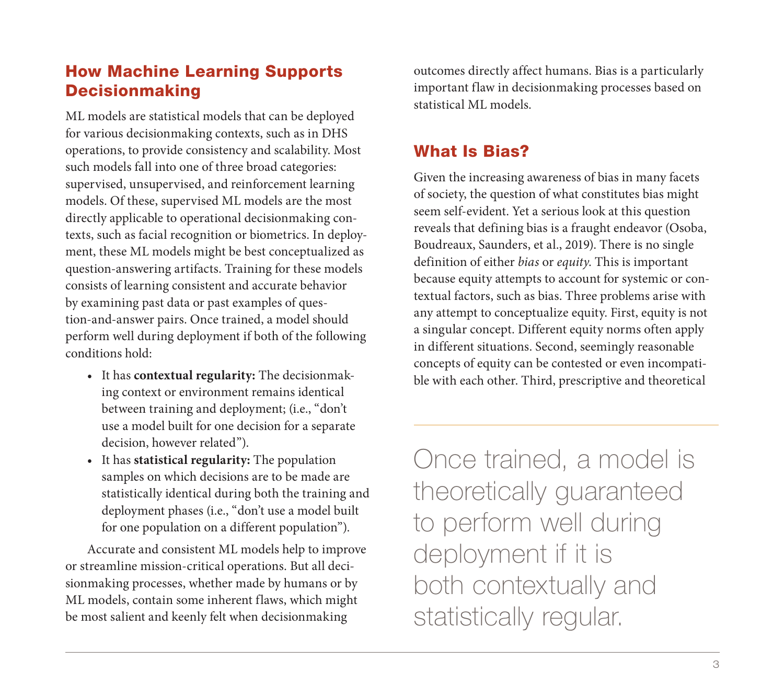# How Machine Learning Supports Decisionmaking

ML models are statistical models that can be deployed for various decisionmaking contexts, such as in DHS operations, to provide consistency and scalability. Most such models fall into one of three broad categories: supervised, unsupervised, and reinforcement learning models. Of these, supervised ML models are the most directly applicable to operational decisionmaking contexts, such as facial recognition or biometrics. In deployment, these ML models might be best conceptualized as question-answering artifacts. Training for these models consists of learning consistent and accurate behavior by examining past data or past examples of question-and-answer pairs. Once trained, a model should perform well during deployment if both of the following conditions hold:

- It has **contextual regularity:** The decisionmaking context or environment remains identical between training and deployment; (i.e., "don't use a model built for one decision for a separate decision, however related").
- It has **statistical regularity:** The population samples on which decisions are to be made are statistically identical during both the training and deployment phases (i.e., "don't use a model built for one population on a different population").

Accurate and consistent ML models help to improve or streamline mission-critical operations. But all decisionmaking processes, whether made by humans or by ML models, contain some inherent flaws, which might be most salient and keenly felt when decisionmaking

outcomes directly affect humans. Bias is a particularly important flaw in decisionmaking processes based on statistical ML models.

# What Is Bias?

Given the increasing awareness of bias in many facets of society, the question of what constitutes bias might seem self-evident. Yet a serious look at this question reveals that defining bias is a fraught endeavor (Osoba, Boudreaux, Saunders, et al., 2019). There is no single definition of either *bias* or *equity*. This is important because equity attempts to account for systemic or contextual factors, such as bias. Three problems arise with any attempt to conceptualize equity. First, equity is not a singular concept. Different equity norms often apply in different situations. Second, seemingly reasonable concepts of equity can be contested or even incompatible with each other. Third, prescriptive and theoretical

Once trained, a model is theoretically guaranteed to perform well during deployment if it is both contextually and statistically regular.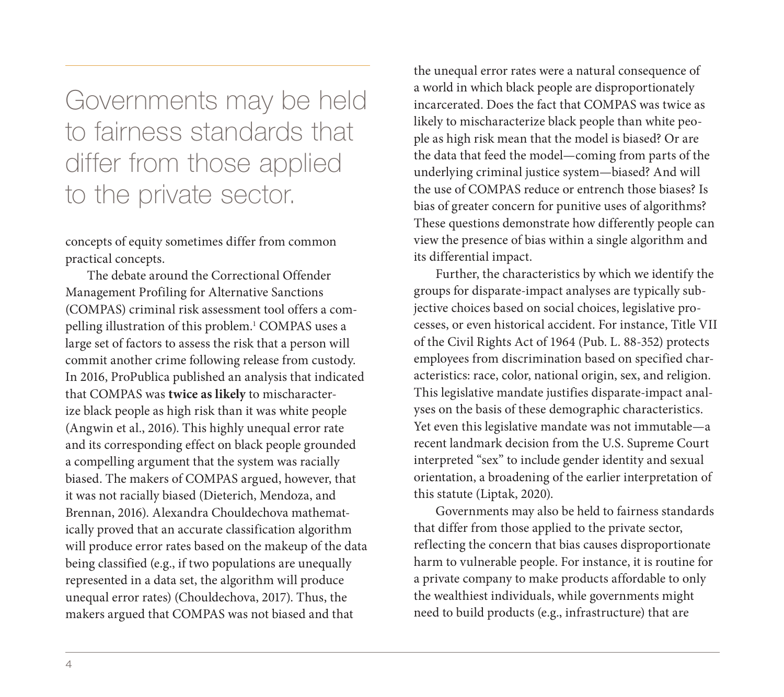Governments may be held to fairness standards that differ from those applied to the private sector.

concepts of equity sometimes differ from common practical concepts.

The debate around the Correctional Offender Management Profiling for Alternative Sanctions (COMPAS) criminal risk assessment tool offers a compelling illustration of this problem.<sup>1</sup> COMPAS uses a large set of factors to assess the risk that a person will commit another crime following release from custody. In 2016, ProPublica published an analysis that indicated that COMPAS was **twice as likely** to mischaracterize black people as high risk than it was white people (Angwin et al., 2016). This highly unequal error rate and its corresponding effect on black people grounded a compelling argument that the system was racially biased. The makers of COMPAS argued, however, that it was not racially biased (Dieterich, Mendoza, and Brennan, 2016). Alexandra Chouldechova mathematically proved that an accurate classification algorithm will produce error rates based on the makeup of the data being classified (e.g., if two populations are unequally represented in a data set, the algorithm will produce unequal error rates) (Chouldechova, 2017). Thus, the makers argued that COMPAS was not biased and that

the unequal error rates were a natural consequence of a world in which black people are disproportionately incarcerated. Does the fact that COMPAS was twice as likely to mischaracterize black people than white people as high risk mean that the model is biased? Or are the data that feed the model—coming from parts of the underlying criminal justice system—biased? And will the use of COMPAS reduce or entrench those biases? Is bias of greater concern for punitive uses of algorithms? These questions demonstrate how differently people can view the presence of bias within a single algorithm and its differential impact.

Further, the characteristics by which we identify the groups for disparate-impact analyses are typically subjective choices based on social choices, legislative processes, or even historical accident. For instance, Title VII of the Civil Rights Act of 1964 (Pub. L. 88-352) protects employees from discrimination based on specified characteristics: race, color, national origin, sex, and religion. This legislative mandate justifies disparate-impact analyses on the basis of these demographic characteristics. Yet even this legislative mandate was not immutable—a recent landmark decision from the U.S. Supreme Court interpreted "sex" to include gender identity and sexual orientation, a broadening of the earlier interpretation of this statute (Liptak, 2020).

Governments may also be held to fairness standards that differ from those applied to the private sector, reflecting the concern that bias causes disproportionate harm to vulnerable people. For instance, it is routine for a private company to make products affordable to only the wealthiest individuals, while governments might need to build products (e.g., infrastructure) that are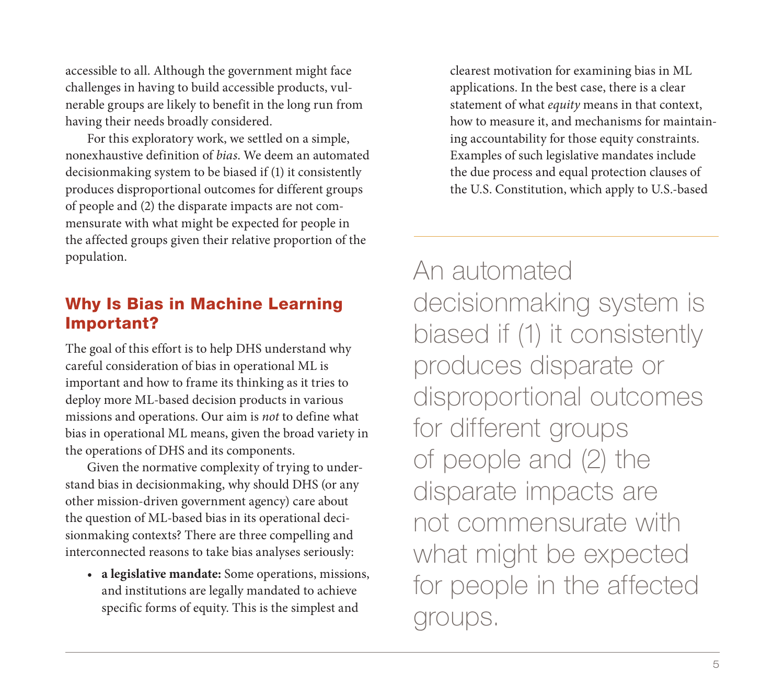accessible to all. Although the government might face challenges in having to build accessible products, vulnerable groups are likely to benefit in the long run from having their needs broadly considered.

For this exploratory work, we settled on a simple, nonexhaustive definition of *bias*. We deem an automated decisionmaking system to be biased if (1) it consistently produces disproportional outcomes for different groups of people and (2) the disparate impacts are not commensurate with what might be expected for people in the affected groups given their relative proportion of the population.

# Why Is Bias in Machine Learning Important?

The goal of this effort is to help DHS understand why careful consideration of bias in operational ML is important and how to frame its thinking as it tries to deploy more ML-based decision products in various missions and operations. Our aim is *not* to define what bias in operational ML means, given the broad variety in the operations of DHS and its components.

Given the normative complexity of trying to understand bias in decisionmaking, why should DHS (or any other mission-driven government agency) care about the question of ML-based bias in its operational decisionmaking contexts? There are three compelling and interconnected reasons to take bias analyses seriously:

• **a legislative mandate:** Some operations, missions, and institutions are legally mandated to achieve specific forms of equity. This is the simplest and

clearest motivation for examining bias in ML applications. In the best case, there is a clear statement of what *equity* means in that context, how to measure it, and mechanisms for maintaining accountability for those equity constraints. Examples of such legislative mandates include the due process and equal protection clauses of the U.S. Constitution, which apply to U.S.-based

An automated decisionmaking system is biased if (1) it consistently produces disparate or disproportional outcomes for different groups of people and (2) the disparate impacts are not commensurate with what might be expected for people in the affected groups.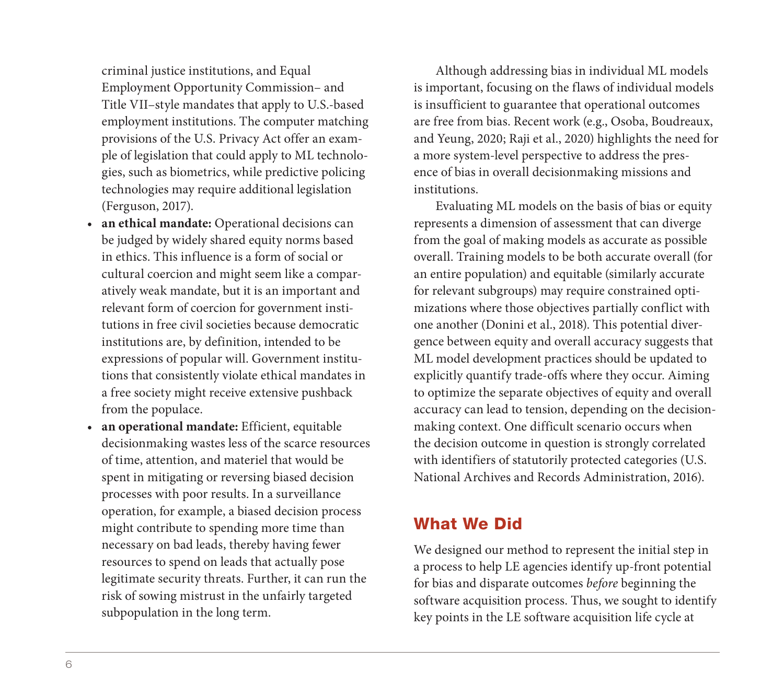criminal justice institutions, and Equal Employment Opportunity Commission– and Title VII–style mandates that apply to U.S.-based employment institutions. The computer matching provisions of the U.S. Privacy Act offer an example of legislation that could apply to ML technologies, such as biometrics, while predictive policing technologies may require additional legislation (Ferguson, 2017).

- **an ethical mandate:** Operational decisions can be judged by widely shared equity norms based in ethics. This influence is a form of social or cultural coercion and might seem like a comparatively weak mandate, but it is an important and relevant form of coercion for government institutions in free civil societies because democratic institutions are, by definition, intended to be expressions of popular will. Government institutions that consistently violate ethical mandates in a free society might receive extensive pushback from the populace.
- **an operational mandate:** Efficient, equitable decisionmaking wastes less of the scarce resources of time, attention, and materiel that would be spent in mitigating or reversing biased decision processes with poor results. In a surveillance operation, for example, a biased decision process might contribute to spending more time than necessary on bad leads, thereby having fewer resources to spend on leads that actually pose legitimate security threats. Further, it can run the risk of sowing mistrust in the unfairly targeted subpopulation in the long term.

Although addressing bias in individual ML models is important, focusing on the flaws of individual models is insufficient to guarantee that operational outcomes are free from bias. Recent work (e.g., Osoba, Boudreaux, and Yeung, 2020; Raji et al., 2020) highlights the need for a more system-level perspective to address the presence of bias in overall decisionmaking missions and institutions.

Evaluating ML models on the basis of bias or equity represents a dimension of assessment that can diverge from the goal of making models as accurate as possible overall. Training models to be both accurate overall (for an entire population) and equitable (similarly accurate for relevant subgroups) may require constrained optimizations where those objectives partially conflict with one another (Donini et al., 2018). This potential divergence between equity and overall accuracy suggests that ML model development practices should be updated to explicitly quantify trade-offs where they occur. Aiming to optimize the separate objectives of equity and overall accuracy can lead to tension, depending on the decisionmaking context. One difficult scenario occurs when the decision outcome in question is strongly correlated with identifiers of statutorily protected categories (U.S. National Archives and Records Administration, 2016).

# What We Did

We designed our method to represent the initial step in a process to help LE agencies identify up-front potential for bias and disparate outcomes *before* beginning the software acquisition process. Thus, we sought to identify key points in the LE software acquisition life cycle at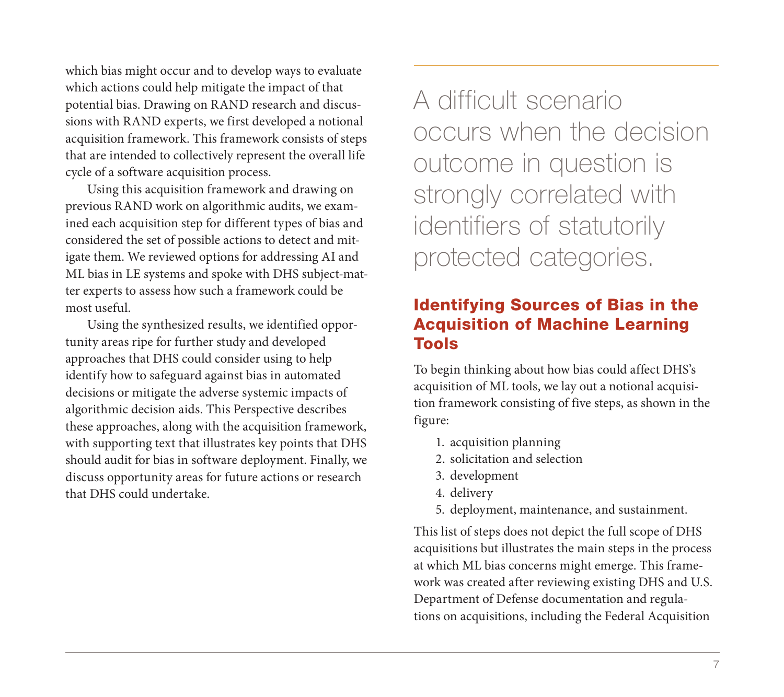which bias might occur and to develop ways to evaluate which actions could help mitigate the impact of that potential bias. Drawing on RAND research and discussions with RAND experts, we first developed a notional acquisition framework. This framework consists of steps that are intended to collectively represent the overall life cycle of a software acquisition process.

Using this acquisition framework and drawing on previous RAND work on algorithmic audits, we examined each acquisition step for different types of bias and considered the set of possible actions to detect and mitigate them. We reviewed options for addressing AI and ML bias in LE systems and spoke with DHS subject-matter experts to assess how such a framework could be most useful.

Using the synthesized results, we identified opportunity areas ripe for further study and developed approaches that DHS could consider using to help identify how to safeguard against bias in automated decisions or mitigate the adverse systemic impacts of algorithmic decision aids. This Perspective describes these approaches, along with the acquisition framework, with supporting text that illustrates key points that DHS should audit for bias in software deployment. Finally, we discuss opportunity areas for future actions or research that DHS could undertake.

A difficult scenario occurs when the decision outcome in question is strongly correlated with identifiers of statutorily protected categories.

# Identifying Sources of Bias in the Acquisition of Machine Learning Tools

To begin thinking about how bias could affect DHS's acquisition of ML tools, we lay out a notional acquisition framework consisting of five steps, as shown in the figure:

- 1. acquisition planning
- 2. solicitation and selection
- 3. development
- 4. delivery
- 5. deployment, maintenance, and sustainment.

This list of steps does not depict the full scope of DHS acquisitions but illustrates the main steps in the process at which ML bias concerns might emerge. This framework was created after reviewing existing DHS and U.S. Department of Defense documentation and regulations on acquisitions, including the Federal Acquisition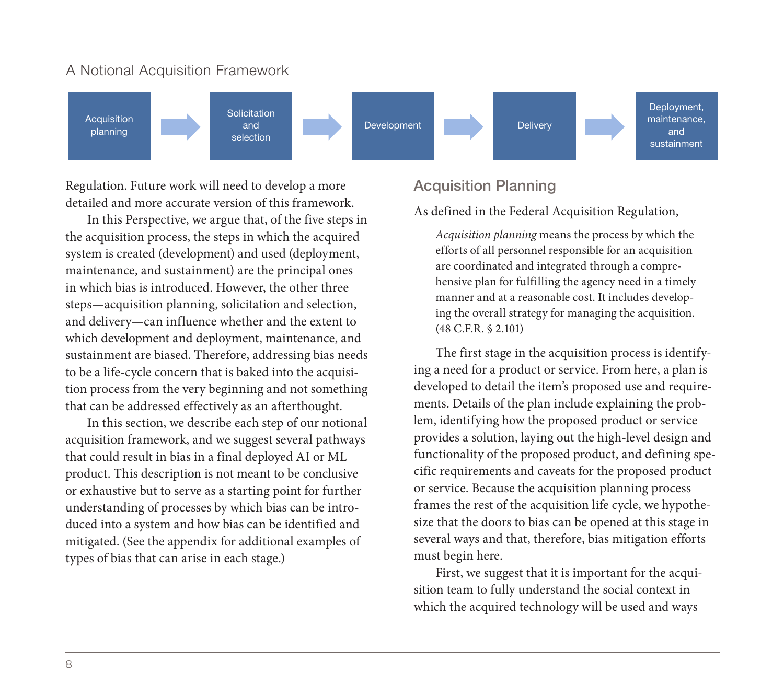#### A Notional Acquisition Framework



Regulation. Future work will need to develop a more detailed and more accurate version of this framework.

In this Perspective, we argue that, of the five steps in the acquisition process, the steps in which the acquired system is created (development) and used (deployment, maintenance, and sustainment) are the principal ones in which bias is introduced. However, the other three steps—acquisition planning, solicitation and selection, and delivery—can influence whether and the extent to which development and deployment, maintenance, and sustainment are biased. Therefore, addressing bias needs to be a life-cycle concern that is baked into the acquisition process from the very beginning and not something that can be addressed effectively as an afterthought.

In this section, we describe each step of our notional acquisition framework, and we suggest several pathways that could result in bias in a final deployed AI or ML product. This description is not meant to be conclusive or exhaustive but to serve as a starting point for further understanding of processes by which bias can be introduced into a system and how bias can be identified and mitigated. (See the appendix for additional examples of types of bias that can arise in each stage.)

## Acquisition Planning

As defined in the Federal Acquisition Regulation,

*Acquisition planning* means the process by which the efforts of all personnel responsible for an acquisition are coordinated and integrated through a comprehensive plan for fulfilling the agency need in a timely manner and at a reasonable cost. It includes developing the overall strategy for managing the acquisition. (48 C.F.R. § 2.101)

The first stage in the acquisition process is identifying a need for a product or service. From here, a plan is developed to detail the item's proposed use and requirements. Details of the plan include explaining the problem, identifying how the proposed product or service provides a solution, laying out the high-level design and functionality of the proposed product, and defining specific requirements and caveats for the proposed product or service. Because the acquisition planning process frames the rest of the acquisition life cycle, we hypothesize that the doors to bias can be opened at this stage in several ways and that, therefore, bias mitigation efforts must begin here.

First, we suggest that it is important for the acquisition team to fully understand the social context in which the acquired technology will be used and ways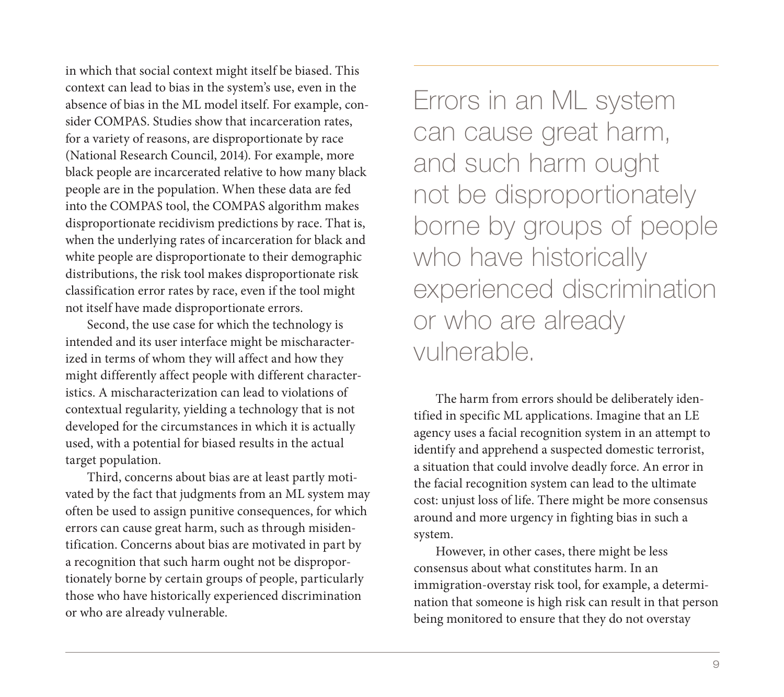in which that social context might itself be biased. This context can lead to bias in the system's use, even in the absence of bias in the ML model itself. For example, consider COMPAS. Studies show that incarceration rates, for a variety of reasons, are disproportionate by race (National Research Council, 2014). For example, more black people are incarcerated relative to how many black people are in the population. When these data are fed into the COMPAS tool, the COMPAS algorithm makes disproportionate recidivism predictions by race. That is, when the underlying rates of incarceration for black and white people are disproportionate to their demographic distributions, the risk tool makes disproportionate risk classification error rates by race, even if the tool might not itself have made disproportionate errors.

Second, the use case for which the technology is intended and its user interface might be mischaracterized in terms of whom they will affect and how they might differently affect people with different characteristics. A mischaracterization can lead to violations of contextual regularity, yielding a technology that is not developed for the circumstances in which it is actually used, with a potential for biased results in the actual target population.

Third, concerns about bias are at least partly motivated by the fact that judgments from an ML system may often be used to assign punitive consequences, for which errors can cause great harm, such as through misidentification. Concerns about bias are motivated in part by a recognition that such harm ought not be disproportionately borne by certain groups of people, particularly those who have historically experienced discrimination or who are already vulnerable.

Errors in an ML system can cause great harm, and such harm ought not be disproportionately borne by groups of people who have historically experienced discrimination or who are already vulnerable.

The harm from errors should be deliberately identified in specific ML applications. Imagine that an LE agency uses a facial recognition system in an attempt to identify and apprehend a suspected domestic terrorist, a situation that could involve deadly force. An error in the facial recognition system can lead to the ultimate cost: unjust loss of life. There might be more consensus around and more urgency in fighting bias in such a system.

However, in other cases, there might be less consensus about what constitutes harm. In an immigration-overstay risk tool, for example, a determination that someone is high risk can result in that person being monitored to ensure that they do not overstay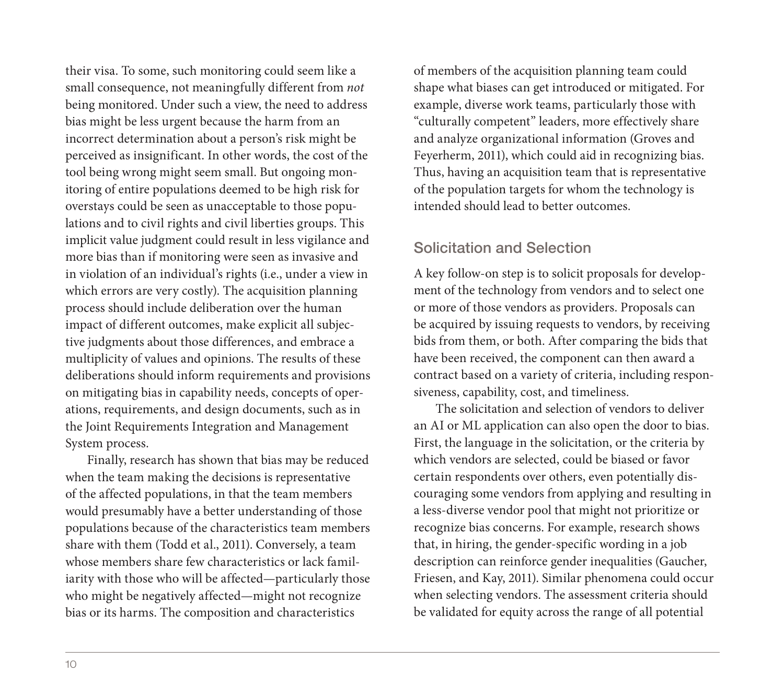their visa. To some, such monitoring could seem like a small consequence, not meaningfully different from *not* being monitored. Under such a view, the need to address bias might be less urgent because the harm from an incorrect determination about a person's risk might be perceived as insignificant. In other words, the cost of the tool being wrong might seem small. But ongoing monitoring of entire populations deemed to be high risk for overstays could be seen as unacceptable to those populations and to civil rights and civil liberties groups. This implicit value judgment could result in less vigilance and more bias than if monitoring were seen as invasive and in violation of an individual's rights (i.e., under a view in which errors are very costly). The acquisition planning process should include deliberation over the human impact of different outcomes, make explicit all subjective judgments about those differences, and embrace a multiplicity of values and opinions. The results of these deliberations should inform requirements and provisions on mitigating bias in capability needs, concepts of operations, requirements, and design documents, such as in the Joint Requirements Integration and Management System process.

Finally, research has shown that bias may be reduced when the team making the decisions is representative of the affected populations, in that the team members would presumably have a better understanding of those populations because of the characteristics team members share with them (Todd et al., 2011). Conversely, a team whose members share few characteristics or lack familiarity with those who will be affected—particularly those who might be negatively affected—might not recognize bias or its harms. The composition and characteristics

of members of the acquisition planning team could shape what biases can get introduced or mitigated. For example, diverse work teams, particularly those with "culturally competent" leaders, more effectively share and analyze organizational information (Groves and Feyerherm, 2011), which could aid in recognizing bias. Thus, having an acquisition team that is representative of the population targets for whom the technology is intended should lead to better outcomes.

## Solicitation and Selection

A key follow-on step is to solicit proposals for development of the technology from vendors and to select one or more of those vendors as providers. Proposals can be acquired by issuing requests to vendors, by receiving bids from them, or both. After comparing the bids that have been received, the component can then award a contract based on a variety of criteria, including responsiveness, capability, cost, and timeliness.

The solicitation and selection of vendors to deliver an AI or ML application can also open the door to bias. First, the language in the solicitation, or the criteria by which vendors are selected, could be biased or favor certain respondents over others, even potentially discouraging some vendors from applying and resulting in a less-diverse vendor pool that might not prioritize or recognize bias concerns. For example, research shows that, in hiring, the gender-specific wording in a job description can reinforce gender inequalities (Gaucher, Friesen, and Kay, 2011). Similar phenomena could occur when selecting vendors. The assessment criteria should be validated for equity across the range of all potential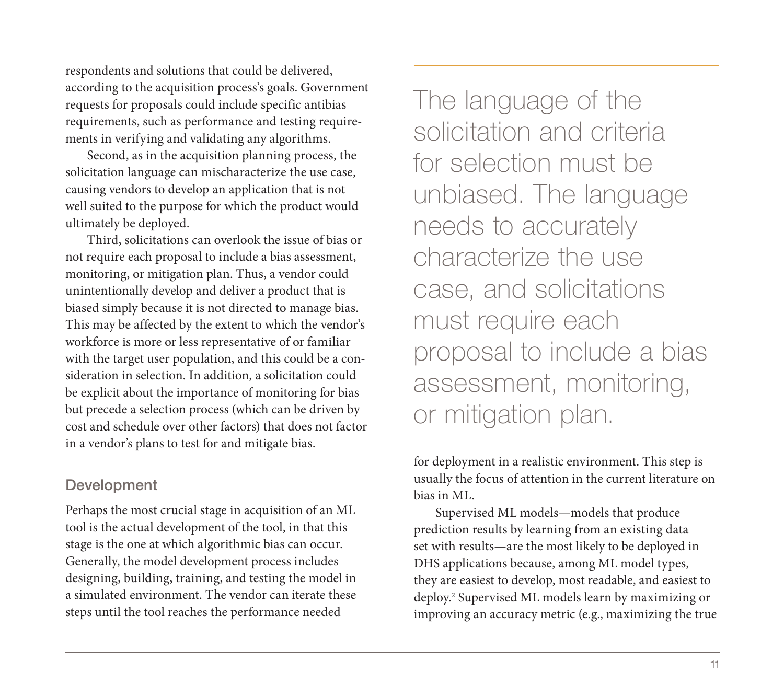respondents and solutions that could be delivered, according to the acquisition process's goals. Government requests for proposals could include specific antibias requirements, such as performance and testing requirements in verifying and validating any algorithms.

Second, as in the acquisition planning process, the solicitation language can mischaracterize the use case, causing vendors to develop an application that is not well suited to the purpose for which the product would ultimately be deployed.

Third, solicitations can overlook the issue of bias or not require each proposal to include a bias assessment, monitoring, or mitigation plan. Thus, a vendor could unintentionally develop and deliver a product that is biased simply because it is not directed to manage bias. This may be affected by the extent to which the vendor's workforce is more or less representative of or familiar with the target user population, and this could be a consideration in selection. In addition, a solicitation could be explicit about the importance of monitoring for bias but precede a selection process (which can be driven by cost and schedule over other factors) that does not factor in a vendor's plans to test for and mitigate bias.

## Development

Perhaps the most crucial stage in acquisition of an ML tool is the actual development of the tool, in that this stage is the one at which algorithmic bias can occur. Generally, the model development process includes designing, building, training, and testing the model in a simulated environment. The vendor can iterate these steps until the tool reaches the performance needed

The language of the solicitation and criteria for selection must be unbiased. The language needs to accurately characterize the use case, and solicitations must require each proposal to include a bias assessment, monitoring, or mitigation plan.

for deployment in a realistic environment. This step is usually the focus of attention in the current literature on bias in ML.

Supervised ML models—models that produce prediction results by learning from an existing data set with results—are the most likely to be deployed in DHS applications because, among ML model types, they are easiest to develop, most readable, and easiest to deploy.2 Supervised ML models learn by maximizing or improving an accuracy metric (e.g., maximizing the true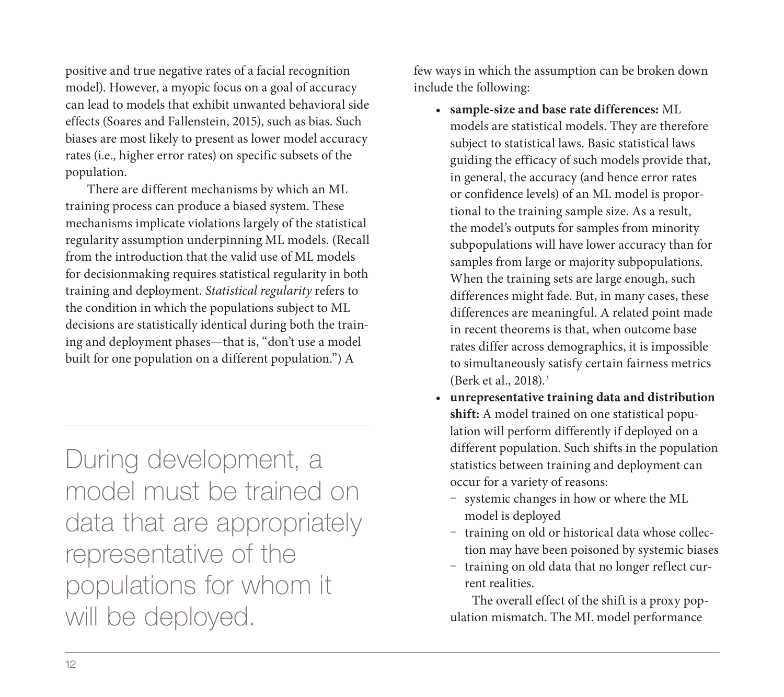positive and true negative rates of a facial recognition model). However, a myopic focus on a goal of accuracy can lead to models that exhibit unwanted behavioral side effects (Soares and Fallenstein, 2015), such as bias. Such biases are most likely to present as lower model accuracy rates (i.e., higher error rates) on specific subsets of the population.

There are different mechanisms by which an ML training process can produce a biased system. These mechanisms implicate violations largely of the statistical regularity assumption underpinning ML models. (Recall from the introduction that the valid use of ML models for decisionmaking requires statistical regularity in both training and deployment. *Statistical regularity* refers to the condition in which the populations subject to ML decisions are statistically identical during both the training and deployment phases—that is, "don't use a model built for one population on a different population.") A

During development, a model must be trained on data that are appropriately representative of the populations for whom it will be deployed.

few ways in which the assumption can be broken down include the following:

- **sample-size and base rate differences:** ML models are statistical models. They are therefore subject to statistical laws. Basic statistical laws guiding the efficacy of such models provide that, in general, the accuracy (and hence error rates or confidence levels) of an ML model is proportional to the training sample size. As a result, the model's outputs for samples from minority subpopulations will have lower accuracy than for samples from large or majority subpopulations. When the training sets are large enough, such differences might fade. But, in many cases, these differences are meaningful. A related point made in recent theorems is that, when outcome base rates differ across demographics, it is impossible to simultaneously satisfy certain fairness metrics (Berk et al., 2018).3
- **unrepresentative training data and distribution shift:** A model trained on one statistical population will perform differently if deployed on a different population. Such shifts in the population statistics between training and deployment can occur for a variety of reasons:
	- systemic changes in how or where the ML model is deployed
	- training on old or historical data whose collection may have been poisoned by systemic biases
	- training on old data that no longer reflect current realities.

The overall effect of the shift is a proxy population mismatch. The ML model performance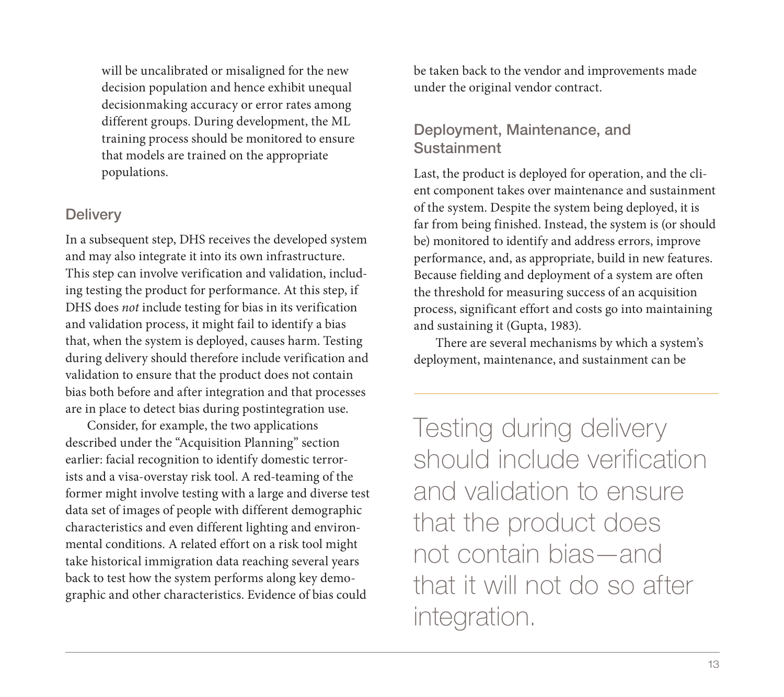will be uncalibrated or misaligned for the new decision population and hence exhibit unequal decisionmaking accuracy or error rates among different groups. During development, the ML training process should be monitored to ensure that models are trained on the appropriate populations.

#### **Delivery**

In a subsequent step, DHS receives the developed system and may also integrate it into its own infrastructure. This step can involve verification and validation, including testing the product for performance. At this step, if DHS does *not* include testing for bias in its verification and validation process, it might fail to identify a bias that, when the system is deployed, causes harm. Testing during delivery should therefore include verification and validation to ensure that the product does not contain bias both before and after integration and that processes are in place to detect bias during postintegration use.

Consider, for example, the two applications described under the "Acquisition Planning" section earlier: facial recognition to identify domestic terrorists and a visa-overstay risk tool. A red-teaming of the former might involve testing with a large and diverse test data set of images of people with different demographic characteristics and even different lighting and environmental conditions. A related effort on a risk tool might take historical immigration data reaching several years back to test how the system performs along key demographic and other characteristics. Evidence of bias could

be taken back to the vendor and improvements made under the original vendor contract.

## Deployment, Maintenance, and Sustainment

Last, the product is deployed for operation, and the client component takes over maintenance and sustainment of the system. Despite the system being deployed, it is far from being finished. Instead, the system is (or should be) monitored to identify and address errors, improve performance, and, as appropriate, build in new features. Because fielding and deployment of a system are often the threshold for measuring success of an acquisition process, significant effort and costs go into maintaining and sustaining it (Gupta, 1983).

There are several mechanisms by which a system's deployment, maintenance, and sustainment can be

Testing during delivery should include verification and validation to ensure that the product does not contain bias—and that it will not do so after integration.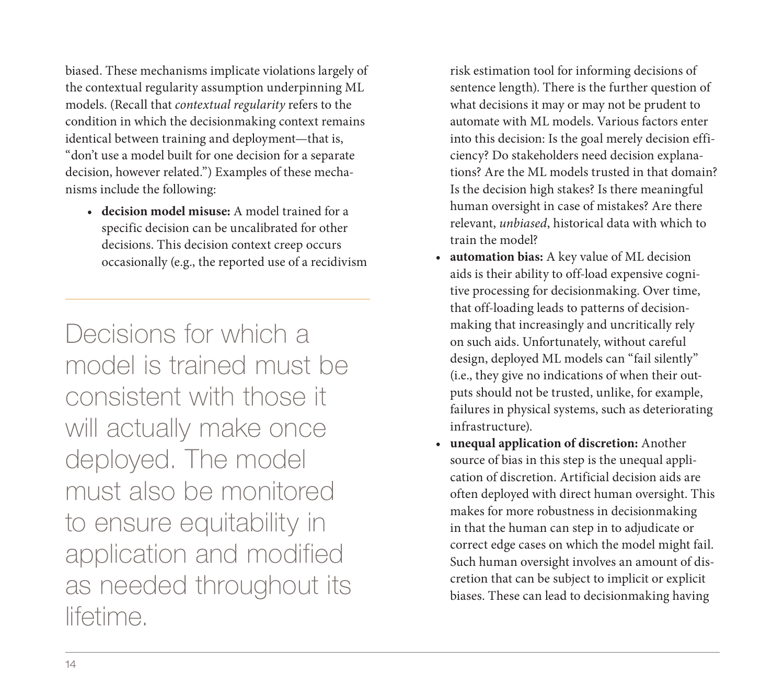biased. These mechanisms implicate violations largely of the contextual regularity assumption underpinning ML models. (Recall that *contextual regularity* refers to the condition in which the decisionmaking context remains identical between training and deployment—that is, "don't use a model built for one decision for a separate decision, however related.") Examples of these mechanisms include the following:

• **decision model misuse:** A model trained for a specific decision can be uncalibrated for other decisions. This decision context creep occurs occasionally (e.g., the reported use of a recidivism

Decisions for which a model is trained must be consistent with those it will actually make once deployed. The model must also be monitored to ensure equitability in application and modified as needed throughout its lifetime.

risk estimation tool for informing decisions of sentence length). There is the further question of what decisions it may or may not be prudent to automate with ML models. Various factors enter into this decision: Is the goal merely decision efficiency? Do stakeholders need decision explanations? Are the ML models trusted in that domain? Is the decision high stakes? Is there meaningful human oversight in case of mistakes? Are there relevant, *unbiased*, historical data with which to train the model?

- **automation bias:** A key value of ML decision aids is their ability to off-load expensive cognitive processing for decisionmaking. Over time, that off-loading leads to patterns of decisionmaking that increasingly and uncritically rely on such aids. Unfortunately, without careful design, deployed ML models can "fail silently" (i.e., they give no indications of when their outputs should not be trusted, unlike, for example, failures in physical systems, such as deteriorating infrastructure).
- **unequal application of discretion:** Another source of bias in this step is the unequal application of discretion. Artificial decision aids are often deployed with direct human oversight. This makes for more robustness in decisionmaking in that the human can step in to adjudicate or correct edge cases on which the model might fail. Such human oversight involves an amount of discretion that can be subject to implicit or explicit biases. These can lead to decisionmaking having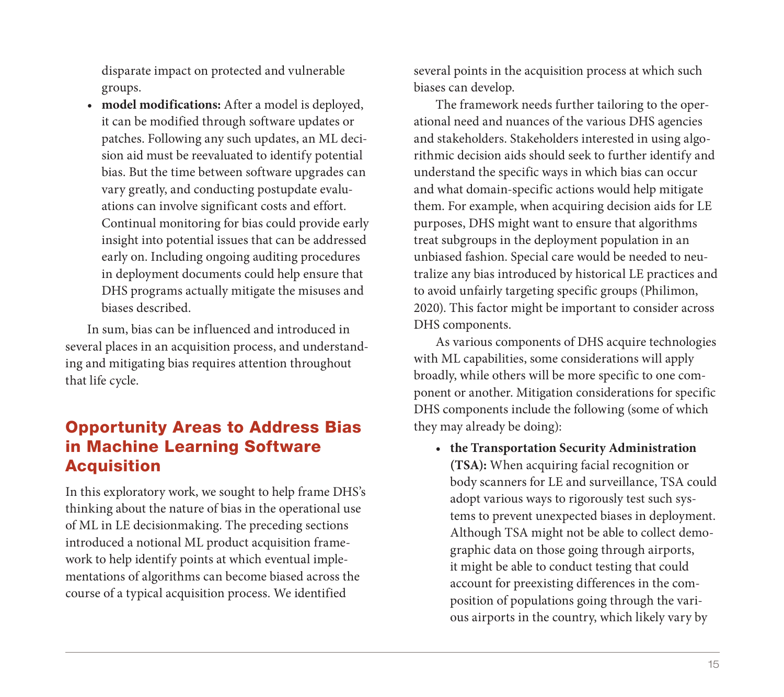disparate impact on protected and vulnerable groups.

• **model modifications:** After a model is deployed, it can be modified through software updates or patches. Following any such updates, an ML decision aid must be reevaluated to identify potential bias. But the time between software upgrades can vary greatly, and conducting postupdate evaluations can involve significant costs and effort. Continual monitoring for bias could provide early insight into potential issues that can be addressed early on. Including ongoing auditing procedures in deployment documents could help ensure that DHS programs actually mitigate the misuses and biases described.

In sum, bias can be influenced and introduced in several places in an acquisition process, and understanding and mitigating bias requires attention throughout that life cycle.

# Opportunity Areas to Address Bias in Machine Learning Software **Acquisition**

In this exploratory work, we sought to help frame DHS's thinking about the nature of bias in the operational use of ML in LE decisionmaking. The preceding sections introduced a notional ML product acquisition framework to help identify points at which eventual implementations of algorithms can become biased across the course of a typical acquisition process. We identified

several points in the acquisition process at which such biases can develop.

The framework needs further tailoring to the operational need and nuances of the various DHS agencies and stakeholders. Stakeholders interested in using algorithmic decision aids should seek to further identify and understand the specific ways in which bias can occur and what domain-specific actions would help mitigate them. For example, when acquiring decision aids for LE purposes, DHS might want to ensure that algorithms treat subgroups in the deployment population in an unbiased fashion. Special care would be needed to neutralize any bias introduced by historical LE practices and to avoid unfairly targeting specific groups (Philimon, 2020). This factor might be important to consider across DHS components.

As various components of DHS acquire technologies with ML capabilities, some considerations will apply broadly, while others will be more specific to one component or another. Mitigation considerations for specific DHS components include the following (some of which they may already be doing):

• **the Transportation Security Administration (TSA):** When acquiring facial recognition or body scanners for LE and surveillance, TSA could adopt various ways to rigorously test such systems to prevent unexpected biases in deployment. Although TSA might not be able to collect demographic data on those going through airports, it might be able to conduct testing that could account for preexisting differences in the composition of populations going through the various airports in the country, which likely vary by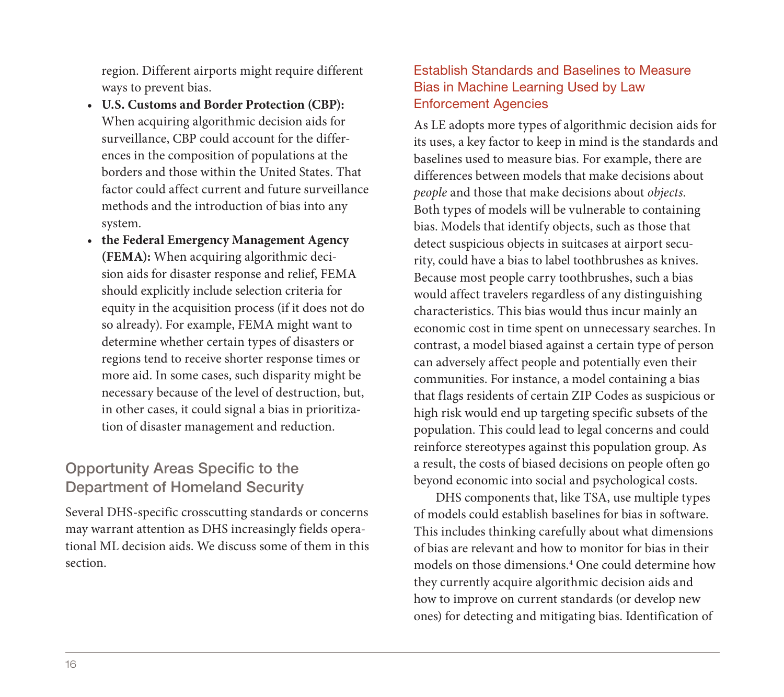region. Different airports might require different ways to prevent bias.

- **U.S. Customs and Border Protection (CBP):** When acquiring algorithmic decision aids for surveillance, CBP could account for the differences in the composition of populations at the borders and those within the United States. That factor could affect current and future surveillance methods and the introduction of bias into any system.
- **the Federal Emergency Management Agency (FEMA):** When acquiring algorithmic decision aids for disaster response and relief, FEMA should explicitly include selection criteria for equity in the acquisition process (if it does not do so already). For example, FEMA might want to determine whether certain types of disasters or regions tend to receive shorter response times or more aid. In some cases, such disparity might be necessary because of the level of destruction, but, in other cases, it could signal a bias in prioritization of disaster management and reduction.

## Opportunity Areas Specific to the Department of Homeland Security

Several DHS-specific crosscutting standards or concerns may warrant attention as DHS increasingly fields operational ML decision aids. We discuss some of them in this section.

#### Establish Standards and Baselines to Measure Bias in Machine Learning Used by Law Enforcement Agencies

As LE adopts more types of algorithmic decision aids for its uses, a key factor to keep in mind is the standards and baselines used to measure bias. For example, there are differences between models that make decisions about *people* and those that make decisions about *objects*. Both types of models will be vulnerable to containing bias. Models that identify objects, such as those that detect suspicious objects in suitcases at airport security, could have a bias to label toothbrushes as knives. Because most people carry toothbrushes, such a bias would affect travelers regardless of any distinguishing characteristics. This bias would thus incur mainly an economic cost in time spent on unnecessary searches. In contrast, a model biased against a certain type of person can adversely affect people and potentially even their communities. For instance, a model containing a bias that flags residents of certain ZIP Codes as suspicious or high risk would end up targeting specific subsets of the population. This could lead to legal concerns and could reinforce stereotypes against this population group. As a result, the costs of biased decisions on people often go beyond economic into social and psychological costs.

DHS components that, like TSA, use multiple types of models could establish baselines for bias in software. This includes thinking carefully about what dimensions of bias are relevant and how to monitor for bias in their models on those dimensions.4 One could determine how they currently acquire algorithmic decision aids and how to improve on current standards (or develop new ones) for detecting and mitigating bias. Identification of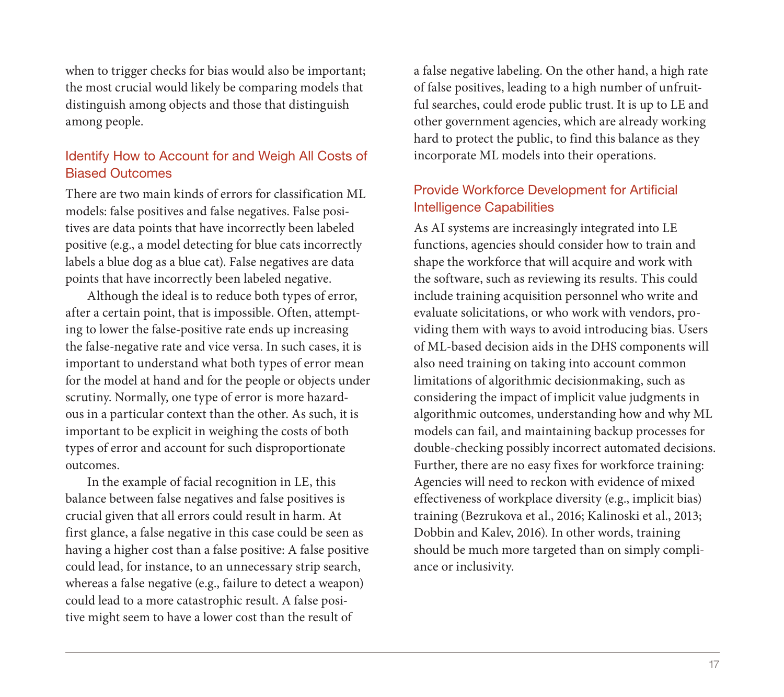when to trigger checks for bias would also be important; the most crucial would likely be comparing models that distinguish among objects and those that distinguish among people.

#### Identify How to Account for and Weigh All Costs of Biased Outcomes

There are two main kinds of errors for classification ML models: false positives and false negatives. False positives are data points that have incorrectly been labeled positive (e.g., a model detecting for blue cats incorrectly labels a blue dog as a blue cat). False negatives are data points that have incorrectly been labeled negative.

Although the ideal is to reduce both types of error, after a certain point, that is impossible. Often, attempting to lower the false-positive rate ends up increasing the false-negative rate and vice versa. In such cases, it is important to understand what both types of error mean for the model at hand and for the people or objects under scrutiny. Normally, one type of error is more hazardous in a particular context than the other. As such, it is important to be explicit in weighing the costs of both types of error and account for such disproportionate outcomes.

In the example of facial recognition in LE, this balance between false negatives and false positives is crucial given that all errors could result in harm. At first glance, a false negative in this case could be seen as having a higher cost than a false positive: A false positive could lead, for instance, to an unnecessary strip search, whereas a false negative (e.g., failure to detect a weapon) could lead to a more catastrophic result. A false positive might seem to have a lower cost than the result of

a false negative labeling. On the other hand, a high rate of false positives, leading to a high number of unfruitful searches, could erode public trust. It is up to LE and other government agencies, which are already working hard to protect the public, to find this balance as they incorporate ML models into their operations.

#### Provide Workforce Development for Artificial Intelligence Capabilities

As AI systems are increasingly integrated into LE functions, agencies should consider how to train and shape the workforce that will acquire and work with the software, such as reviewing its results. This could include training acquisition personnel who write and evaluate solicitations, or who work with vendors, providing them with ways to avoid introducing bias. Users of ML-based decision aids in the DHS components will also need training on taking into account common limitations of algorithmic decisionmaking, such as considering the impact of implicit value judgments in algorithmic outcomes, understanding how and why ML models can fail, and maintaining backup processes for double-checking possibly incorrect automated decisions. Further, there are no easy fixes for workforce training: Agencies will need to reckon with evidence of mixed effectiveness of workplace diversity (e.g., implicit bias) training (Bezrukova et al., 2016; Kalinoski et al., 2013; Dobbin and Kalev, 2016). In other words, training should be much more targeted than on simply compliance or inclusivity.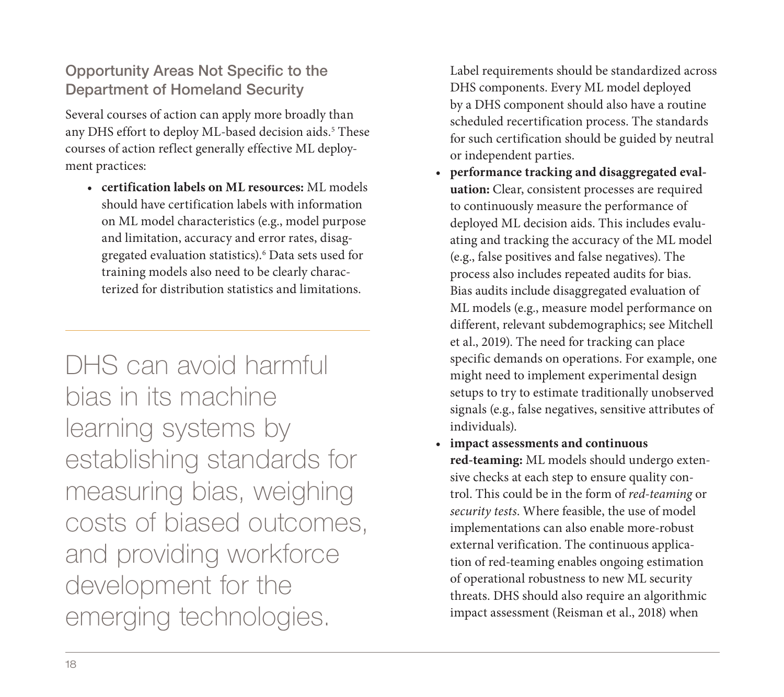## Opportunity Areas Not Specific to the Department of Homeland Security

Several courses of action can apply more broadly than any DHS effort to deploy ML-based decision aids.<sup>5</sup> These courses of action reflect generally effective ML deployment practices:

• **certification labels on ML resources:** ML models should have certification labels with information on ML model characteristics (e.g., model purpose and limitation, accuracy and error rates, disaggregated evaluation statistics).6 Data sets used for training models also need to be clearly characterized for distribution statistics and limitations.

DHS can avoid harmful bias in its machine learning systems by establishing standards for measuring bias, weighing costs of biased outcomes, and providing workforce development for the emerging technologies.

Label requirements should be standardized across DHS components. Every ML model deployed by a DHS component should also have a routine scheduled recertification process. The standards for such certification should be guided by neutral or independent parties.

- **performance tracking and disaggregated evaluation:** Clear, consistent processes are required to continuously measure the performance of deployed ML decision aids. This includes evaluating and tracking the accuracy of the ML model (e.g., false positives and false negatives). The process also includes repeated audits for bias. Bias audits include disaggregated evaluation of ML models (e.g., measure model performance on different, relevant subdemographics; see Mitchell et al., 2019). The need for tracking can place specific demands on operations. For example, one might need to implement experimental design setups to try to estimate traditionally unobserved signals (e.g., false negatives, sensitive attributes of individuals).
- **impact assessments and continuous red-teaming:** ML models should undergo extensive checks at each step to ensure quality control. This could be in the form of *red-teaming* or *security tests*. Where feasible, the use of model implementations can also enable more-robust external verification. The continuous application of red-teaming enables ongoing estimation of operational robustness to new ML security threats. DHS should also require an algorithmic impact assessment (Reisman et al., 2018) when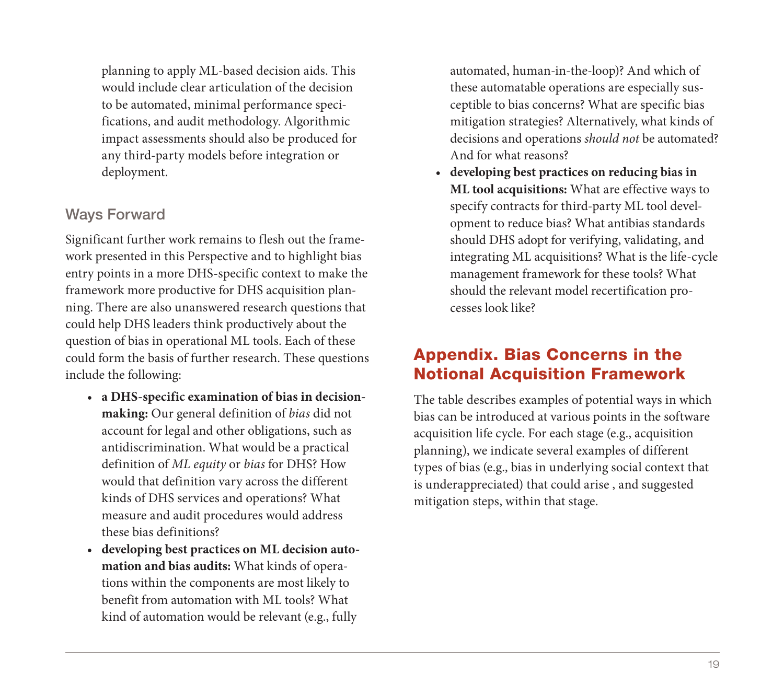planning to apply ML-based decision aids. This would include clear articulation of the decision to be automated, minimal performance specifications, and audit methodology. Algorithmic impact assessments should also be produced for any third-party models before integration or deployment.

## Ways Forward

Significant further work remains to flesh out the framework presented in this Perspective and to highlight bias entry points in a more DHS-specific context to make the framework more productive for DHS acquisition planning. There are also unanswered research questions that could help DHS leaders think productively about the question of bias in operational ML tools. Each of these could form the basis of further research. These questions include the following:

- **a DHS-specific examination of bias in decisionmaking:** Our general definition of *bias* did not account for legal and other obligations, such as antidiscrimination. What would be a practical definition of *ML equity* or *bias* for DHS? How would that definition vary across the different kinds of DHS services and operations? What measure and audit procedures would address these bias definitions?
- **developing best practices on ML decision automation and bias audits:** What kinds of operations within the components are most likely to benefit from automation with ML tools? What kind of automation would be relevant (e.g., fully

automated, human-in-the-loop)? And which of these automatable operations are especially susceptible to bias concerns? What are specific bias mitigation strategies? Alternatively, what kinds of decisions and operations *should not* be automated? And for what reasons?

• **developing best practices on reducing bias in ML tool acquisitions:** What are effective ways to specify contracts for third-party ML tool development to reduce bias? What antibias standards should DHS adopt for verifying, validating, and integrating ML acquisitions? What is the life-cycle management framework for these tools? What should the relevant model recertification processes look like?

# Appendix. Bias Concerns in the Notional Acquisition Framework

The table describes examples of potential ways in which bias can be introduced at various points in the software acquisition life cycle. For each stage (e.g., acquisition planning), we indicate several examples of different types of bias (e.g., bias in underlying social context that is underappreciated) that could arise , and suggested mitigation steps, within that stage.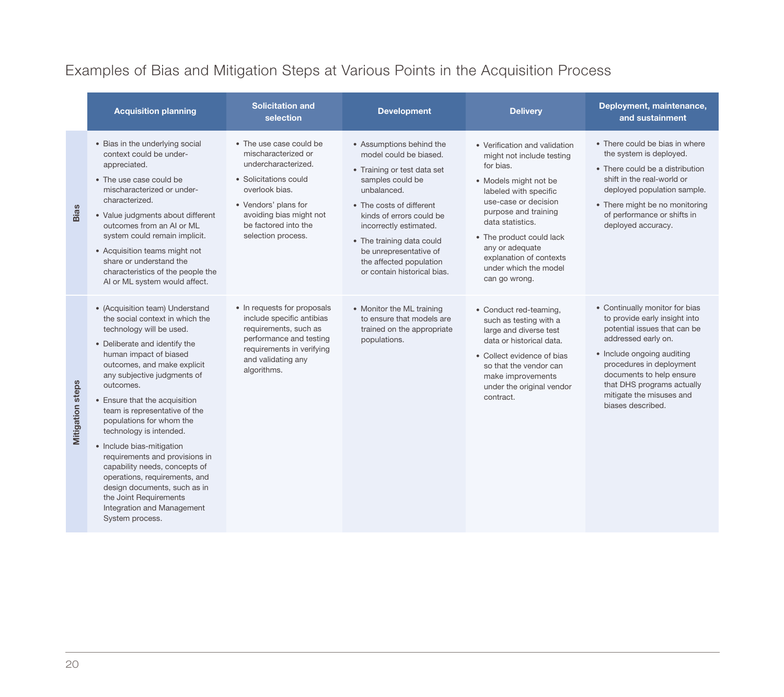# Examples of Bias and Mitigation Steps at Various Points in the Acquisition Process

|                         | <b>Acquisition planning</b>                                                                                                                                                                                                                                                                                                                                                                                                                                                                                                                                                                               | <b>Solicitation and</b><br>selection                                                                                                                                                                              | <b>Development</b>                                                                                                                                                                                                                                                                                                      | <b>Delivery</b>                                                                                                                                                                                                                                                                                                   | Deployment, maintenance,<br>and sustainment                                                                                                                                                                                                                                                 |
|-------------------------|-----------------------------------------------------------------------------------------------------------------------------------------------------------------------------------------------------------------------------------------------------------------------------------------------------------------------------------------------------------------------------------------------------------------------------------------------------------------------------------------------------------------------------------------------------------------------------------------------------------|-------------------------------------------------------------------------------------------------------------------------------------------------------------------------------------------------------------------|-------------------------------------------------------------------------------------------------------------------------------------------------------------------------------------------------------------------------------------------------------------------------------------------------------------------------|-------------------------------------------------------------------------------------------------------------------------------------------------------------------------------------------------------------------------------------------------------------------------------------------------------------------|---------------------------------------------------------------------------------------------------------------------------------------------------------------------------------------------------------------------------------------------------------------------------------------------|
| <b>Bias</b>             | • Bias in the underlying social<br>context could be under-<br>appreciated.<br>• The use case could be<br>mischaracterized or under-<br>characterized.<br>• Value judgments about different<br>outcomes from an AI or ML<br>system could remain implicit.<br>• Acquisition teams might not<br>share or understand the<br>characteristics of the people the<br>AI or ML system would affect.                                                                                                                                                                                                                | • The use case could be<br>mischaracterized or<br>undercharacterized.<br>• Solicitations could<br>overlook bias.<br>• Vendors' plans for<br>avoiding bias might not<br>be factored into the<br>selection process. | • Assumptions behind the<br>model could be biased.<br>• Training or test data set<br>samples could be<br>unbalanced.<br>• The costs of different<br>kinds of errors could be<br>incorrectly estimated.<br>• The training data could<br>be unrepresentative of<br>the affected population<br>or contain historical bias. | • Verification and validation<br>might not include testing<br>for bias.<br>• Models might not be<br>labeled with specific<br>use-case or decision<br>purpose and training<br>data statistics.<br>• The product could lack<br>any or adequate<br>explanation of contexts<br>under which the model<br>can go wrong. | • There could be bias in where<br>the system is deployed.<br>• There could be a distribution<br>shift in the real-world or<br>deployed population sample.<br>• There might be no monitoring<br>of performance or shifts in<br>deployed accuracy.                                            |
| <b>Mitigation steps</b> | • (Acquisition team) Understand<br>the social context in which the<br>technology will be used.<br>• Deliberate and identify the<br>human impact of biased<br>outcomes, and make explicit<br>any subjective judgments of<br>outcomes.<br>• Ensure that the acquisition<br>team is representative of the<br>populations for whom the<br>technology is intended.<br>· Include bias-mitigation<br>requirements and provisions in<br>capability needs, concepts of<br>operations, requirements, and<br>design documents, such as in<br>the Joint Requirements<br>Integration and Management<br>System process. | • In requests for proposals<br>include specific antibias<br>requirements, such as<br>performance and testing<br>requirements in verifying<br>and validating any<br>algorithms.                                    | • Monitor the ML training<br>to ensure that models are<br>trained on the appropriate<br>populations.                                                                                                                                                                                                                    | • Conduct red-teaming,<br>such as testing with a<br>large and diverse test<br>data or historical data.<br>• Collect evidence of bias<br>so that the vendor can<br>make improvements<br>under the original vendor<br>contract.                                                                                     | • Continually monitor for bias<br>to provide early insight into<br>potential issues that can be<br>addressed early on.<br>• Include ongoing auditing<br>procedures in deployment<br>documents to help ensure<br>that DHS programs actually<br>mitigate the misuses and<br>biases described. |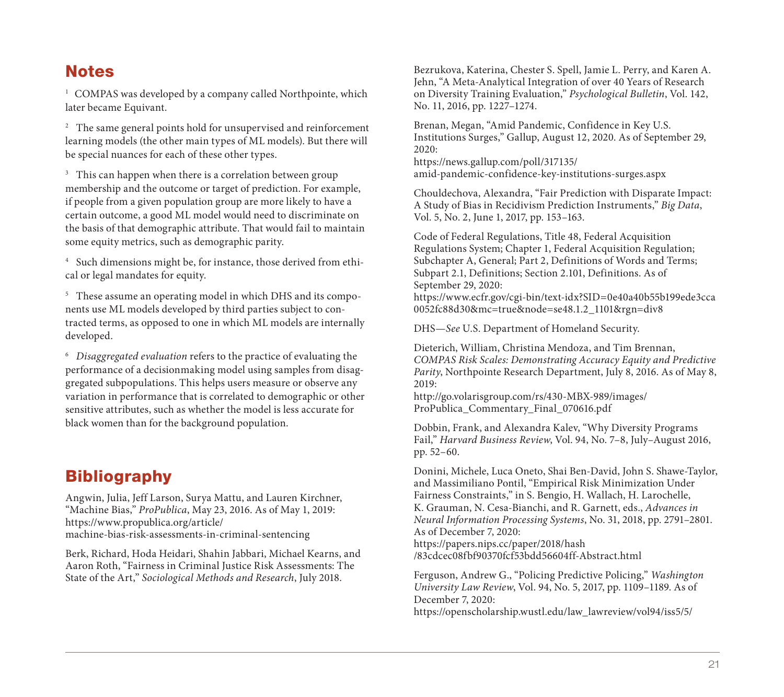#### **Notes**

<sup>1</sup> COMPAS was developed by a company called Northpointe, which later became Equivant.

<sup>2</sup> The same general points hold for unsupervised and reinforcement learning models (the other main types of ML models). But there will be special nuances for each of these other types.

<sup>3</sup> This can happen when there is a correlation between group membership and the outcome or target of prediction. For example, if people from a given population group are more likely to have a certain outcome, a good ML model would need to discriminate on the basis of that demographic attribute. That would fail to maintain some equity metrics, such as demographic parity.

[4 Such dimensions might be, for instance, those derived](https://www.propublica.org/article/machine-bias-risk-assessments-in-criminal-sentencing) from ethical or legal mandates for equity.

<sup>5</sup> These assume an operating model in which DHS and its components use ML models developed by third parties subject to contracted terms, as opposed to one in which ML models are internally developed.

<sup>6</sup>*Disaggregated evaluation* refers to the practice of evaluating the performance of a decisionmaking model using samples from disaggregated subpopulations. This helps users measure or observe any variation in performance that is correlated to demographic or other sensitive attributes, such as whether the model is less accurate for black women than for the background population.

## Bibliography

Angwin, Julia, Jeff Larson, Surya Mattu, and Lauren Kirchner, "Machine Bias," *ProPublica*, May 23, 2016. As of May 1, 2019: https://www.propublica.org/article/

machine-bias-risk-assessments-in-criminal-sentencing

Berk, Richard, Hoda Heidari, Shahin Jabbari, Michael Kearns, and Aaron Roth, "Fairness in Criminal Justice Risk Assessments: The State of the Art," *Sociological Methods and Research*, July 2018.

Bezrukova, Katerina, Chester S. Spell, Jamie L. Perry, and Karen A. Jehn, "A Meta-Analytical Integration of over 40 Years of Research on Diversity Training Evaluation," *Psychological Bulletin*, Vol. 142, No. 11, 2016, pp. 1227–1274.

Brenan, Megan, "Amid Pandemic, Confidence in Key U.S. [Institutions Surges," Gallup, August 12, 2020. As of S](http://go.volarisgroup.com/rs/430-MBX-989/images/ProPublica_Commentary_Final_070616.pdf)eptember 29, 2020:

https://news.gallup.com/poll/317135/ amid-pandemic-confidence-key-institutions-surges.aspx

Chouldechova, Alexandra, "Fair Prediction with Disparate Impact: A Study of Bias in Recidivism Prediction Instruments," *Big Data*, Vol. 5, No. 2, June 1, 2017, pp. 153–163.

Code of Federal Regulations, Title 48, Federal Acquisition Regulations System; Chapter 1, Federal Acquisition Regulation; Subchapter A, General; Part 2, Definitions of Words and Terms; Subpart 2.1, Definitions; Section 2.101, Definitions. As of September 29, 2020:

[https://www.ecfr.gov/cgi-bin/text-idx?SID=0e40a40](https://papers.nips.cc/paper/2018/hash/83cdcec08fbf90370fcf53bdd56604ff-Abstract.html)b55b199ede3cca 0052fc88d30&mc=true&node=se48.1.2\_1101&rgn=div8

DHS—*See* U.S. Department of Homeland Security.

[Dieterich, William, Christina Mendoza, and Tim Brennan,](https://openscholarship.wustl.edu/law_lawreview/vol94/iss5/5/)  *COMPAS Risk Scales: Demonstrating Accuracy Equity and Predictive Parity*, Northpointe Research Department, July 8, 2016. As of May 8, 2019:

http://go.volarisgroup.com/rs/430-MBX-989/images/ ProPublica\_Commentary\_Final\_070616.pdf

Dobbin, Frank, and Alexandra Kalev, "Why Diversity Programs Fail," *Harvard Business Review*, Vol. 94, No. 7–8, July–August 2016, pp. 52–60.

Donini, Michele, Luca Oneto, Shai Ben-David, John S. Shawe-Taylor, and Massimiliano Pontil, "Empirical Risk Minimization Under Fairness Constraints," in S. Bengio, H. Wallach, H. Larochelle, K. Grauman, N. Cesa-Bianchi, and R. Garnett, eds., *Advances in Neural Information Processing Systems*, No. 31, 2018, pp. 2791–2801. As of December 7, 2020:

https://papers.nips.cc/paper/2018/hash /83cdcec08fbf90370fcf53bdd56604ff-Abstract.html

Ferguson, Andrew G., "Policing Predictive Policing," *Washington University Law Review*, Vol. 94, No. 5, 2017, pp. 1109–1189. As of December 7, 2020: https://openscholarship.wustl.edu/law\_lawreview/vol94/iss5/5/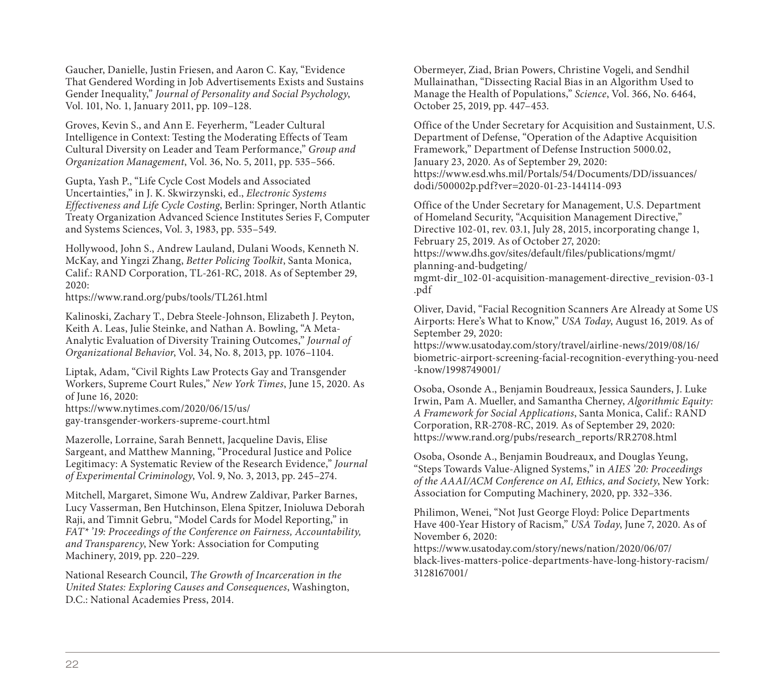Gaucher, Danielle, Justin Friesen, and Aaron C. Kay, "Evidence That Gendered Wording in Job Advertisements Exists and Sustains Gender Inequality," *Journal of Personality and Social Psychology*, Vol. 101, No. 1, January 2011, pp. 109–128.

Groves, Kevin S., and Ann E. Feyerherm, "Leader Cultural Intelligence in Context: Testing the Moderating Effects of Team [Cultural Diversity on Leader and Team Perform](https://www.nytimes.com/2020/06/15/us/gay-transgender-workers-supreme-court.html)ance," *Group and Organization Management*, Vol. 36, No. 5, 2011, pp. 535–566.

Gupta, Yash P., "Life Cycle Cost Models and Associated Uncertainties," in J. K. Skwirzynski, ed., *Electronic Systems Effectiveness and Life Cycle Costing*, Berlin: Springer, North Atlantic Treaty Organization Advanced Science Institutes Series F, Computer and Systems Sciences, Vol. 3, 1983, pp. 535–549.

Hollywood, John S., Andrew Lauland, Dulani Woods, Kenneth N. McKay, and Yingzi Zhang, *Better Policing Toolkit*, Santa Monica, Calif.: RAND Corporation, TL-261-RC, 2018. As of September 29, 2020:

https://www.rand.org/pubs/tools/TL261.html

Kalinoski, Zachary T., Debra Steele‐Johnson, Elizabeth J. Peyton, Keith A. Leas, Julie Steinke, and Nathan A. Bowling, "A Meta‐ Analytic Evaluation of Diversity Training Outcomes," *Journal of Organizational Behavior*, Vol. 34, No. 8, 2013, pp. 1076–1104.

Liptak, Adam, "Civil Rights Law Protects Gay and Transgender Workers, Supreme Court Rules," *New York Times*, June 15, 2020. As of June 16, 2020:

https://www.nytimes.com/2020/06/15/us/ gay-transgender-workers-supreme-court.html

Mazerolle, Lorraine, Sarah Bennett, Jacqueline Davis, Elise Sargeant, and Matthew Manning, "Procedural Justice and Police Legitimacy: A Systematic Review of the Research Evidence," *Journal of Experimental Criminology*, Vol. 9, No. 3, 2013, pp. 245–274.

Mitchell, Margaret, Simone Wu, Andrew Zaldivar, Parker Barnes, Lucy Vasserman, Ben Hutchinson, Elena Spitzer, Inioluwa Deborah Raji, and Timnit Gebru, "Model Cards for Model Reporting," in *FAT\* '19: Proceedings of the Conference on Fairness, Accountability, and Transparency*, New York: Association for Computing Machinery, 2019, pp. 220–229.

National Research Council, *The Growth of Incarceration in the United States: Exploring Causes and Consequences*, Washington, D.C.: National Academies Press, 2014.

Obermeyer, Ziad, Brian Powers, Christine Vogeli, and Sendhil [Mullainathan, "Dissecting Racial Bias in an Algorithm Used to](https://www.usatoday.com/story/travel/airline-news/2019/08/16/biometric-airport-screening-facial-recognition-everything-you-need-know/1998749001/)  Manage the Health of Populations," *Science*, Vol. 366, No. 6464, October 25, 2019, pp. 447–453.

Office of the Under Secretary for Acquisition and Sustainment, U.S. Department of Defense, "Operation of the Adaptive Acquisition Framework," Department of Defense Instruction 5000.02, January 23, 2020. As of September 29, 2020: [https://www.esd.whs.mil/Portals/54/Documents/DD/issuan](https://www.rand.org/pubs/research_reports/RR2708.html)ces/ dodi/500002p.pdf?ver=2020-01-23-144114-093

Office of the Under Secretary for Management, U.S. Department of Homeland Security, "Acquisition Management Directive," Directive 102-01, rev. 03.1, July 28, 2015, incorporating change 1, February 25, 2019. As of October 27, 2020: https://www.dhs.gov/sites/default/files/publications/mgmt/

planning-and-budgeting/ mgmt-dir\_102-01-acquisition-management-directive\_revision-03-1

.pdf

[Oliver, David, "Facial Recognition Scanners Are Already at Some U](https://www.usatoday.com/story/news/nation/2020/06/07/black-lives-matters-police-departments-have-long-history-racism/3128167001/)S Airports: Here's What to Know," *USA Today*, August 16, 2019. As of September 29, 2020:

https://www.usatoday.com/story/travel/airline-news/2019/08/16/ biometric-airport-screening-facial-recognition-everything-you-need -know/1998749001/

Osoba, Osonde A., Benjamin Boudreaux, Jessica Saunders, J. Luke Irwin, Pam A. Mueller, and Samantha Cherney, *Algorithmic Equity: A Framework for Social Applications*, Santa Monica, Calif.: RAND Corporation, RR-2708-RC, 2019. As of September 29, 2020: https://www.rand.org/pubs/research\_reports/RR2708.html

Osoba, Osonde A., Benjamin Boudreaux, and Douglas Yeung, "Steps Towards Value-Aligned Systems," in *AIES '20: Proceedings of the AAAI/ACM Conference on AI, Ethics, and Society*, New York: Association for Computing Machinery, 2020, pp. 332–336.

Philimon, Wenei, "Not Just George Floyd: Police Departments Have 400-Year History of Racism," *USA Today*, June 7, 2020. As of November 6, 2020:

https://www.usatoday.com/story/news/nation/2020/06/07/ black-lives-matters-police-departments-have-long-history-racism/ 3128167001/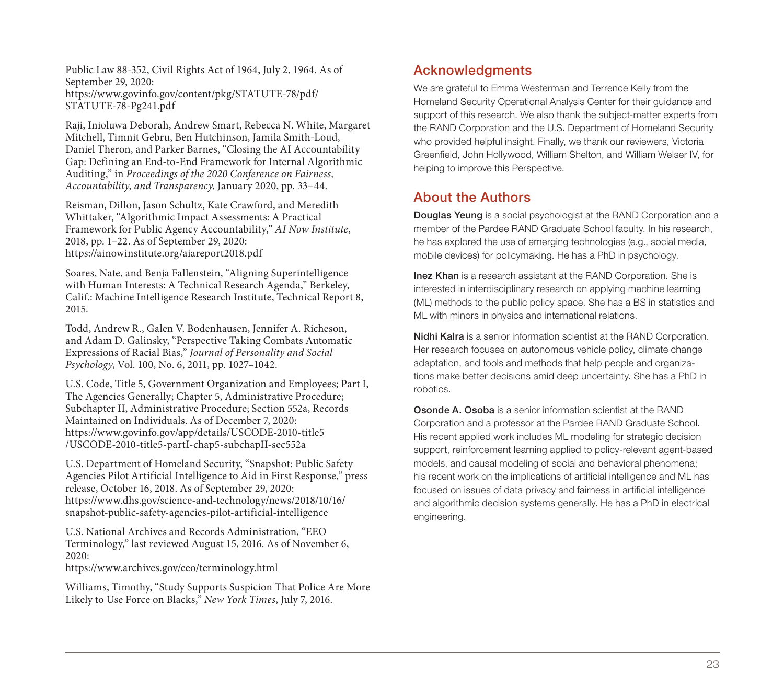Public Law 88-352, Civil Rights Act of 1964, July 2, 1964. As of September 29, 2020: https://www.govinfo.gov/content/pkg/STATUTE-78/pdf/

STATUTE-78-Pg241.pdf

Raji, Inioluwa Deborah, Andrew Smart, Rebecca N. White, Margaret Mitchell, Timnit Gebru, Ben Hutchinson, Jamila Smith-Loud, Daniel Theron, and Parker Barnes, "Closing the AI Accountability Gap: Defining an End-to-End Framework for Internal Algorithmic Auditing," in *[Proceedings of the 2020 Conference on Fairnes](https://www.govinfo.gov/app/details/USCODE-2010-title5/USCODE-2010-title5-partI-chap5-subchapII-sec552a)s, Accountability, and Transparency*, January 2020, pp. 33–44.

Reisman, Dillon, Jason Schultz, Kate Crawford, and Meredith Whittaker, "Algorithmic Impact Assessments: A Practical Framework for Public Agency Accountability," *AI Now Institute*, [2018, pp. 1–22. As of September 29, 2020:](https://www.dhs.gov/science-and-technology/news/2018/10/16/snapshot-public-safety-agencies-pilot-artificial-intelligence)  https://ainowinstitute.org/aiareport2018.pdf

Soares, Nate, and Benja Fallenstein, "Aligning Superintelligence with Human Interests: A Technical Research Agenda," Berkeley, [Calif.: Machine Intelligence Research Institute, T](https://www.archives.gov/eeo/terminology.html)echnical Report 8, 2015.

Todd, Andrew R., Galen V. Bodenhausen, Jennifer A. Richeson, and Adam D. Galinsky, "Perspective Taking Combats Automatic Expressions of Racial Bias," *Journal of Personality and Social Psychology*, Vol. 100, No. 6, 2011, pp. 1027–1042.

U.S. Code, Title 5, Government Organization and Employees; Part I, The Agencies Generally; Chapter 5, Administrative Procedure; Subchapter II, Administrative Procedure; Section 552a, Records Maintained on Individuals. As of December 7, 2020: https://www.govinfo.gov/app/details/USCODE-2010-title5 /USCODE-2010-title5-partI-chap5-subchapII-sec552a

U.S. Department of Homeland Security, "Snapshot: Public Safety Agencies Pilot Artificial Intelligence to Aid in First Response," press release, October 16, 2018. As of September 29, 2020: https://www.dhs.gov/science-and-technology/news/2018/10/16/ snapshot-public-safety-agencies-pilot-artificial-intelligence

U.S. National Archives and Records Administration, "EEO Terminology," last reviewed August 15, 2016. As of November 6, 2020:

https://www.archives.gov/eeo/terminology.html

Williams, Timothy, "Study Supports Suspicion That Police Are More Likely to Use Force on Blacks," *New York Times*, July 7, 2016.

#### Acknowledgments

We are grateful to Emma Westerman and Terrence Kelly from the Homeland Security Operational Analysis Center for their guidance and support of this research. We also thank the subject-matter experts from the RAND Corporation and the U.S. Department of Homeland Security who provided helpful insight. Finally, we thank our reviewers, Victoria Greenfield, John Hollywood, William Shelton, and William Welser IV, for helping to improve this Perspective.

#### About the Authors

Douglas Yeung is a social psychologist at the RAND Corporation and a member of the Pardee RAND Graduate School faculty. In his research, he has explored the use of emerging technologies (e.g., social media, mobile devices) for policymaking. He has a PhD in psychology.

Inez Khan is a research assistant at the RAND Corporation. She is interested in interdisciplinary research on applying machine learning (ML) methods to the public policy space. She has a BS in statistics and ML with minors in physics and international relations.

Nidhi Kalra is a senior information scientist at the RAND Corporation. Her research focuses on autonomous vehicle policy, climate change adaptation, and tools and methods that help people and organizations make better decisions amid deep uncertainty. She has a PhD in robotics.

Osonde A. Osoba is a senior information scientist at the RAND Corporation and a professor at the Pardee RAND Graduate School. His recent applied work includes ML modeling for strategic decision support, reinforcement learning applied to policy-relevant agent-based models, and causal modeling of social and behavioral phenomena; his recent work on the implications of artificial intelligence and ML has focused on issues of data privacy and fairness in artificial intelligence and algorithmic decision systems generally. He has a PhD in electrical engineering.